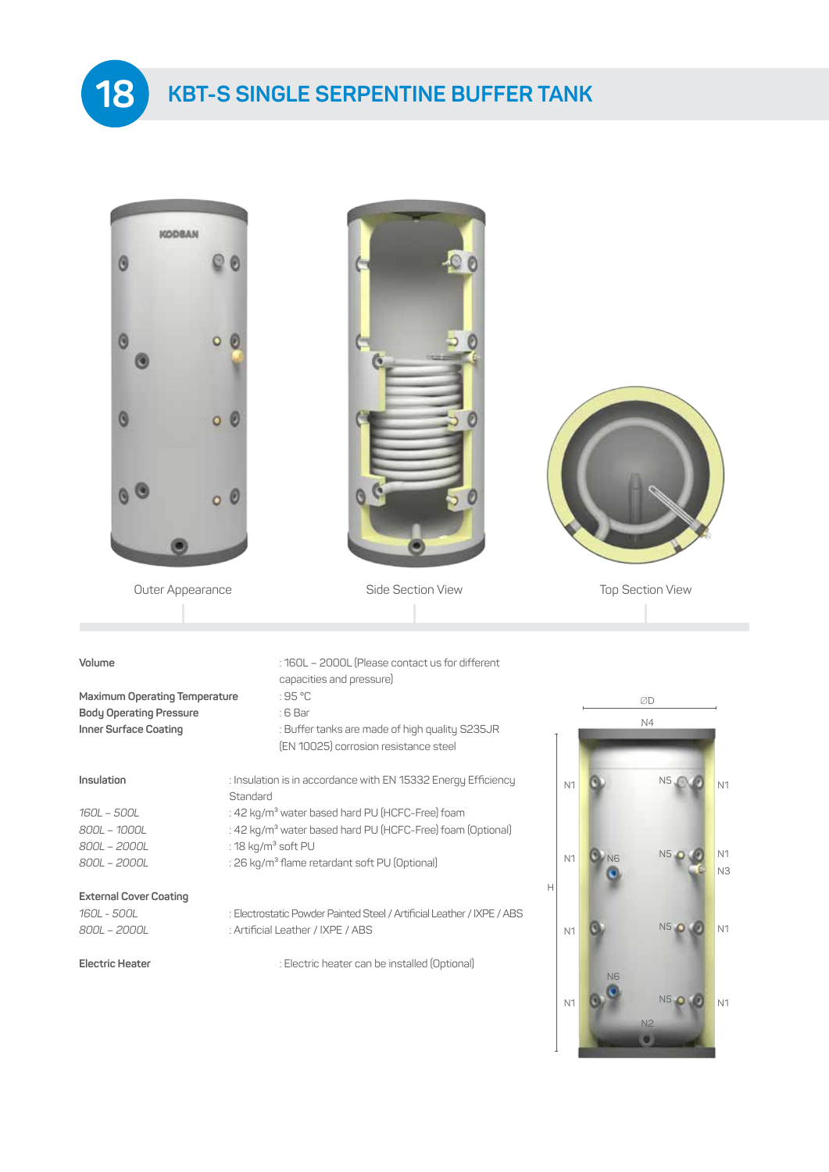**KBT-S SINGLE SERPENTINE BUFFER TANK**

**18**